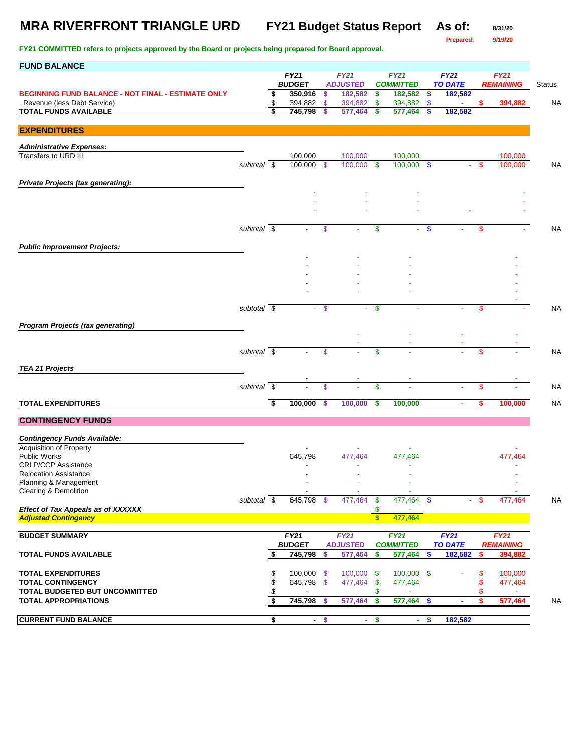### **MRA RIVERFRONT TRIANGLE URD FY21 Budget Status Report As of: 8/31/20**

**Prepared: 9/19/20**

| <b>FUND BALANCE</b>                                                   |                          |          |                       |        |                                |                           |                                 |               |                        |      |                                 |               |
|-----------------------------------------------------------------------|--------------------------|----------|-----------------------|--------|--------------------------------|---------------------------|---------------------------------|---------------|------------------------|------|---------------------------------|---------------|
|                                                                       |                          |          | FY21<br><b>BUDGET</b> |        | <b>FY21</b>                    |                           | <b>FY21</b><br><b>COMMITTED</b> |               | FY21<br><b>TO DATE</b> |      | <b>FY21</b><br><b>REMAINING</b> |               |
| <b>BEGINNING FUND BALANCE - NOT FINAL - ESTIMATE ONLY</b>             |                          | \$       | 350,916               | \$     | <b>ADJUSTED</b><br>182,582     | \$                        | 182,582                         | \$            | 182,582                |      |                                 | <b>Status</b> |
| Revenue (less Debt Service)                                           |                          | \$       | 394,882               | \$     | 394,882                        | \$                        | 394,882                         | \$            |                        | \$   | 394,882                         | NA.           |
| <b>TOTAL FUNDS AVAILABLE</b>                                          |                          | s,       | 745,798               | \$     | 577,464                        | \$                        | 577,464                         | \$            | 182,582                |      |                                 |               |
| <b>EXPENDITURES</b>                                                   |                          |          |                       |        |                                |                           |                                 |               |                        |      |                                 |               |
| <b>Administrative Expenses:</b>                                       |                          |          |                       |        |                                |                           |                                 |               |                        |      |                                 |               |
| Transfers to URD III                                                  |                          |          | 100,000               |        | 100,000                        |                           | 100,000                         |               |                        |      | 100,000                         |               |
|                                                                       | subtotal \$              |          | 100,000 \$            |        | 100,000                        | - \$                      | 100,000 \$                      |               | ÷.                     | - \$ | 100,000                         | <b>NA</b>     |
| Private Projects (tax generating):                                    |                          |          |                       |        |                                |                           |                                 |               |                        |      |                                 |               |
|                                                                       |                          |          |                       |        |                                |                           |                                 |               |                        |      |                                 |               |
|                                                                       |                          |          |                       |        |                                |                           |                                 |               |                        |      |                                 |               |
|                                                                       |                          |          |                       |        |                                |                           |                                 |               |                        |      |                                 |               |
|                                                                       | subtotal \$              |          |                       | \$     |                                | \$                        | ÷.                              | $\mathbf{\$}$ |                        | \$   |                                 | <b>NA</b>     |
|                                                                       |                          |          |                       |        |                                |                           |                                 |               |                        |      |                                 |               |
| <b>Public Improvement Projects:</b>                                   |                          |          |                       |        |                                |                           |                                 |               |                        |      |                                 |               |
|                                                                       |                          |          |                       |        |                                |                           |                                 |               |                        |      |                                 |               |
|                                                                       |                          |          |                       |        |                                |                           |                                 |               |                        |      |                                 |               |
|                                                                       |                          |          |                       |        |                                |                           |                                 |               |                        |      |                                 |               |
|                                                                       |                          |          |                       |        |                                |                           |                                 |               |                        |      |                                 |               |
|                                                                       | subtotal \$              |          |                       | - \$   |                                | \$                        |                                 |               |                        | \$   |                                 | <b>NA</b>     |
| <b>Program Projects (tax generating)</b>                              |                          |          |                       |        |                                |                           |                                 |               |                        |      |                                 |               |
|                                                                       |                          |          |                       |        |                                |                           |                                 |               |                        |      |                                 |               |
|                                                                       |                          |          |                       |        |                                |                           |                                 |               |                        |      |                                 |               |
|                                                                       | subtotal \$              |          |                       | \$     |                                | \$                        |                                 |               |                        | \$   |                                 | <b>NA</b>     |
| <b>TEA 21 Projects</b>                                                |                          |          |                       |        |                                |                           |                                 |               |                        |      |                                 |               |
|                                                                       | subtotal $\overline{\$}$ |          |                       | \$     |                                | \$                        |                                 |               |                        | \$   |                                 | <b>NA</b>     |
|                                                                       |                          |          |                       |        |                                |                           |                                 |               |                        |      |                                 |               |
| <b>TOTAL EXPENDITURES</b>                                             |                          | उ        | 100,000               | \$     | 100,000                        | \$                        | 100,000                         |               | $\blacksquare$         | s    | 100,000                         | <b>NA</b>     |
| <b>CONTINGENCY FUNDS</b>                                              |                          |          |                       |        |                                |                           |                                 |               |                        |      |                                 |               |
|                                                                       |                          |          |                       |        |                                |                           |                                 |               |                        |      |                                 |               |
| <b>Contingency Funds Available:</b><br><b>Acquisition of Property</b> |                          |          |                       |        |                                |                           |                                 |               |                        |      |                                 |               |
| <b>Public Works</b>                                                   |                          |          | 645,798               |        | 477,464                        |                           | 477,464                         |               |                        |      | 477,464                         |               |
| <b>CRLP/CCP Assistance</b><br><b>Relocation Assistance</b>            |                          |          |                       |        |                                |                           |                                 |               |                        |      |                                 |               |
| Planning & Management                                                 |                          |          |                       |        |                                |                           |                                 |               |                        |      |                                 |               |
| Clearing & Demolition                                                 |                          |          |                       |        |                                |                           |                                 |               |                        |      |                                 |               |
| Effect of Tax Appeals as of XXXXXX                                    | subtotal $\sqrt{s}$      |          | 645,798 \$            |        | 477,464                        | $\boldsymbol{\mathsf{s}}$ | $477,464$ \$                    |               |                        | - \$ | 477,464                         | <b>NA</b>     |
| <b>Adjusted Contingency</b>                                           |                          |          |                       |        |                                | $\mathsf{s}$              | 477,464                         |               |                        |      |                                 |               |
|                                                                       |                          |          |                       |        |                                |                           |                                 |               |                        |      |                                 |               |
| <b>BUDGET SUMMARY</b>                                                 |                          |          | FY21<br><b>BUDGET</b> |        | <b>FY21</b><br><b>ADJUSTED</b> |                           | <b>FY21</b><br><b>COMMITTED</b> |               | FY21<br><b>TO DATE</b> |      | <b>FY21</b><br><b>REMAINING</b> |               |
| <b>TOTAL FUNDS AVAILABLE</b>                                          |                          | \$       | 745,798               | \$     | 577,464                        | \$                        | 577,464                         | \$            | 182,582                | \$   | 394,882                         |               |
|                                                                       |                          |          |                       |        |                                |                           |                                 |               |                        |      |                                 |               |
| <b>TOTAL EXPENDITURES</b>                                             |                          | \$       | $100,000$ \$          |        | $100,000$ \$                   |                           | $100,000$ \$                    |               |                        | S    | 100,000                         |               |
| <b>TOTAL CONTINGENCY</b><br>TOTAL BUDGETED BUT UNCOMMITTED            |                          | \$<br>\$ | 645,798 \$            |        | 477,464                        | \$<br>\$                  | 477,464<br>÷                    |               |                        | S    | 477,464<br>$\sim$               |               |
| <b>TOTAL APPROPRIATIONS</b>                                           |                          | \$       | 745,798               | \$     | 577,464                        | \$                        | 577,464                         | \$            | $\blacksquare$         | S    | 577,464                         | NA            |
|                                                                       |                          |          |                       |        |                                |                           |                                 |               |                        |      |                                 |               |
| <b>CURRENT FUND BALANCE</b>                                           |                          | \$       |                       | $-$ \$ |                                | $-$ \$                    |                                 | $-$ \$        | 182,582                |      |                                 |               |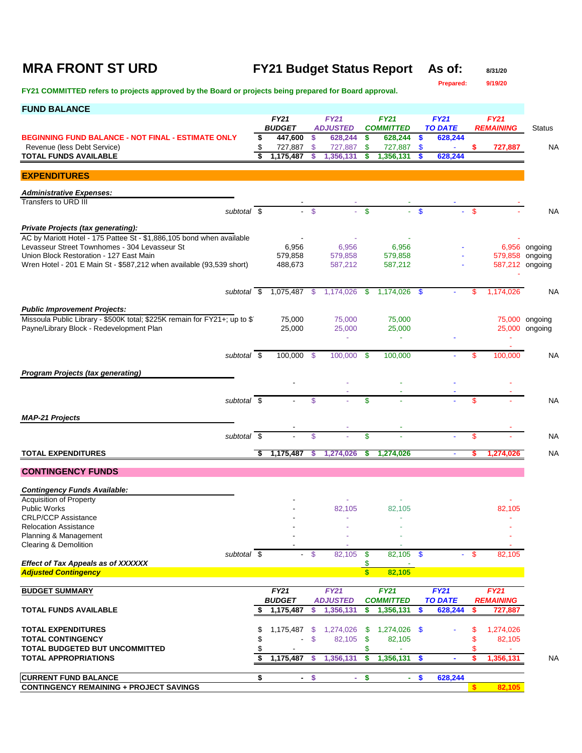# **MRA FRONT ST URD FY21 Budget Status Report As of:** 8/31/20<br>Prepared: 9/19/20

**Prepared:** 

| <b>FUND BALANCE</b>                                                                                             |                              |               |                                |               |                                 |              |                               |      |                                    |                |
|-----------------------------------------------------------------------------------------------------------------|------------------------------|---------------|--------------------------------|---------------|---------------------------------|--------------|-------------------------------|------|------------------------------------|----------------|
|                                                                                                                 | <b>FY21</b><br><b>BUDGET</b> |               | <b>FY21</b><br><b>ADJUSTED</b> |               | <b>FY21</b><br><b>COMMITTED</b> |              | <b>FY21</b><br><b>TO DATE</b> |      | <b>FY21</b><br><b>REMAINING</b>    | <b>Status</b>  |
| <b>BEGINNING FUND BALANCE - NOT FINAL - ESTIMATE ONLY</b>                                                       | \$<br>447,600                | \$            | 628,244                        | \$            | 628,244                         | $\mathbf{s}$ | 628,244                       |      |                                    |                |
| Revenue (less Debt Service)                                                                                     | 727,887                      | \$            | 727,887                        | \$            | 727,887                         | \$           |                               | \$   | 727,887                            | NA             |
| <b>TOTAL FUNDS AVAILABLE</b>                                                                                    | 1,175,487                    | \$            | 1,356,131                      | S             | 1,356,131                       | S.           | 628,244                       |      |                                    |                |
| <b>EXPENDITURES</b>                                                                                             |                              |               |                                |               |                                 |              |                               |      |                                    |                |
| <b>Administrative Expenses:</b>                                                                                 |                              |               |                                |               |                                 |              |                               |      |                                    |                |
| Transfers to URD III                                                                                            |                              |               |                                |               |                                 |              |                               |      |                                    |                |
| subtotal \$                                                                                                     |                              | $\mathcal{S}$ |                                | $\mathbf{\$}$ |                                 | $\mathbf{s}$ |                               | \$   |                                    | <b>NA</b>      |
| Private Projects (tax generating):                                                                              |                              |               |                                |               |                                 |              |                               |      |                                    |                |
| AC by Mariott Hotel - 175 Pattee St - \$1,886,105 bond when available                                           |                              |               |                                |               |                                 |              |                               |      |                                    |                |
| Levasseur Street Townhomes - 304 Levasseur St                                                                   | 6,956                        |               | 6,956                          |               | 6,956                           |              |                               |      |                                    | 6,956 ongoing  |
| Union Block Restoration - 127 East Main<br>Wren Hotel - 201 E Main St - \$587,212 when available (93,539 short) | 579,858                      |               | 579,858                        |               | 579,858                         |              |                               |      | 579,858 ongoing<br>587,212 ongoing |                |
|                                                                                                                 | 488,673                      |               | 587,212                        |               | 587,212                         |              |                               |      |                                    |                |
|                                                                                                                 |                              |               |                                |               |                                 |              |                               |      |                                    |                |
| subtotal \$                                                                                                     | 1,075,487 \$                 |               | 1,174,026                      | -\$           | 1,174,026 \$                    |              |                               | \$   | 1,174,026                          | NA             |
| <b>Public Improvement Projects:</b>                                                                             |                              |               |                                |               |                                 |              |                               |      |                                    |                |
| Missoula Public Library - \$500K total; \$225K remain for FY21+; up to \$                                       | 75,000                       |               | 75,000                         |               | 75,000                          |              |                               |      |                                    | 75,000 ongoing |
| Payne/Library Block - Redevelopment Plan                                                                        | 25,000                       |               | 25,000                         |               | 25,000<br>÷                     |              |                               |      |                                    | 25,000 ongoing |
|                                                                                                                 |                              |               |                                |               |                                 |              |                               |      |                                    |                |
| subtotal \$                                                                                                     | 100,000 \$                   |               | 100,000                        | -\$           | 100,000                         |              |                               | \$   | 100,000                            | NA             |
| <b>Program Projects (tax generating)</b>                                                                        |                              |               |                                |               |                                 |              |                               |      |                                    |                |
|                                                                                                                 |                              |               |                                |               |                                 |              |                               |      |                                    |                |
| subtotal $\overline{\$}$                                                                                        |                              |               |                                |               |                                 |              |                               |      |                                    |                |
|                                                                                                                 |                              | \$            |                                | \$            |                                 |              |                               | \$   |                                    | <b>NA</b>      |
| <b>MAP-21 Projects</b>                                                                                          |                              |               |                                |               |                                 |              |                               |      |                                    |                |
| subtotal \$                                                                                                     |                              | \$            |                                | \$            |                                 |              |                               | \$   |                                    | <b>NA</b>      |
|                                                                                                                 |                              |               |                                |               |                                 |              |                               |      |                                    |                |
| <b>TOTAL EXPENDITURES</b>                                                                                       | \$<br>1,175,487              | \$            | 1,274,026                      | \$            | 1,274,026                       |              | $\blacksquare$                | \$   | 1,274,026                          | <b>NA</b>      |
| <b>CONTINGENCY FUNDS</b>                                                                                        |                              |               |                                |               |                                 |              |                               |      |                                    |                |
|                                                                                                                 |                              |               |                                |               |                                 |              |                               |      |                                    |                |
| <b>Contingency Funds Available:</b><br><b>Acquisition of Property</b>                                           |                              |               |                                |               |                                 |              |                               |      |                                    |                |
| <b>Public Works</b>                                                                                             |                              |               | 82,105                         |               | 82,105                          |              |                               |      | 82,105                             |                |
| <b>CRLP/CCP Assistance</b>                                                                                      |                              |               |                                |               |                                 |              |                               |      |                                    |                |
| <b>Relocation Assistance</b><br>Planning & Management                                                           |                              |               |                                |               |                                 |              |                               |      |                                    |                |
| <b>Clearing &amp; Demolition</b>                                                                                |                              |               |                                |               |                                 |              |                               |      |                                    |                |
| subtotal \$                                                                                                     | $\blacksquare$               | - \$          | 82,105                         | \$            | 82,105 \$                       |              |                               | - \$ | 82,105                             |                |
| <b>Effect of Tax Appeals as of XXXXXX</b><br><b>Adjusted Contingency</b>                                        |                              |               |                                | \$<br>\$      | 82,105                          |              |                               |      |                                    |                |
|                                                                                                                 |                              |               |                                |               |                                 |              |                               |      |                                    |                |
| <b>BUDGET SUMMARY</b>                                                                                           | FY21                         |               | FY21                           |               | FY21                            |              | FY21                          |      | <b>FY21</b>                        |                |
|                                                                                                                 | <b>BUDGET</b>                |               | <b>ADJUSTED</b>                |               | <b>COMMITTED</b>                |              | <b>TO DATE</b>                |      | <b>REMAINING</b>                   |                |
| <b>TOTAL FUNDS AVAILABLE</b>                                                                                    | 1,175,487                    |               | 1,356,131                      | \$            | 1,356,131                       | S.           | 628,244                       | S    | 727,887                            |                |
| <b>TOTAL EXPENDITURES</b>                                                                                       | \$<br>1,175,487              | -\$           | 1,274,026                      | \$            | $1,274,026$ \$                  |              |                               | \$   | 1,274,026                          |                |
| <b>TOTAL CONTINGENCY</b>                                                                                        |                              | \$            | 82,105                         | \$            | 82,105                          |              |                               | \$   | 82,105                             |                |
| TOTAL BUDGETED BUT UNCOMMITTED                                                                                  |                              |               |                                | \$            |                                 |              |                               |      |                                    |                |
| <b>TOTAL APPROPRIATIONS</b>                                                                                     | 1,175,487                    | <b>S</b>      | 1,356,131                      | S             | 1,356,131                       | <b>S</b>     | $\blacksquare$                | s    | 1,356,131                          | <b>NA</b>      |
| <b>CURRENT FUND BALANCE</b>                                                                                     | \$<br>$\blacksquare$         | \$            | $\blacksquare$                 | \$            | ٠                               | \$           | 628,244                       |      |                                    |                |
| <b>CONTINGENCY REMAINING + PROJECT SAVINGS</b>                                                                  |                              |               |                                |               |                                 |              |                               | \$   | 82,105                             |                |
|                                                                                                                 |                              |               |                                |               |                                 |              |                               |      |                                    |                |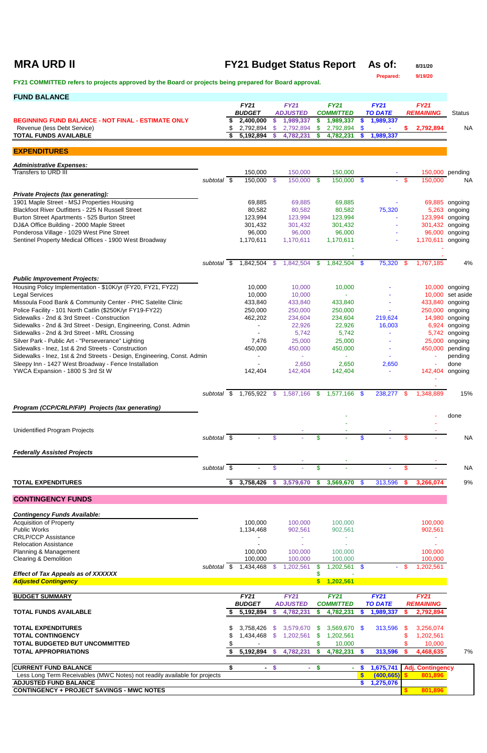## **MRA URD II FY21 Budget Status Report** As of: 8/31/20

**Prepared: 9/19/20**

| <b>FUND BALANCE</b>                                                                                      |                     |    |                                       |        |                              |          |                               |                        |                             |        |                                    |                           |
|----------------------------------------------------------------------------------------------------------|---------------------|----|---------------------------------------|--------|------------------------------|----------|-------------------------------|------------------------|-----------------------------|--------|------------------------------------|---------------------------|
|                                                                                                          |                     |    | <b>FY21</b>                           |        | <b>FY21</b>                  |          | <b>FY21</b>                   |                        | <b>FY21</b>                 |        | <b>FY21</b>                        |                           |
| <b>BEGINNING FUND BALANCE - NOT FINAL - ESTIMATE ONLY</b>                                                |                     | \$ | <b>BUDGET</b><br>2,400,000            | S      | <b>ADJUSTED</b><br>1,989,337 |          | <b>COMMITTED</b><br>1,989,337 | \$                     | <b>TO DATE</b><br>1,989,337 |        | <b>REMAINING</b>                   | <b>Status</b>             |
| Revenue (less Debt Service)                                                                              |                     | \$ | 2,792,894                             | -S     | 2,792,894                    | \$       | 2,792,894                     | \$                     |                             | S.     | 2,792,894                          | <b>NA</b>                 |
| <b>TOTAL FUNDS AVAILABLE</b>                                                                             |                     | \$ | 5,192,894                             |        | 4,782,231                    | S        | 4,782,231                     | \$.                    | 1,989,337                   |        |                                    |                           |
| <b>EXPENDITURES</b>                                                                                      |                     |    |                                       |        |                              |          |                               |                        |                             |        |                                    |                           |
| <b>Administrative Expenses:</b>                                                                          |                     |    |                                       |        |                              |          |                               |                        |                             |        |                                    |                           |
| Transfers to URD III                                                                                     |                     |    | 150,000                               |        | 150,000                      |          | 150,000                       |                        |                             |        |                                    | 150,000 pending           |
|                                                                                                          | subtotal \$         |    | 150,000 \$                            |        | 150,000 \$                   |          | 150,000 \$                    |                        |                             | $-$ \$ | 150,000                            | <b>NA</b>                 |
| <b>Private Projects (tax generating):</b>                                                                |                     |    |                                       |        |                              |          |                               |                        |                             |        |                                    |                           |
| 1901 Maple Street - MSJ Properties Housing<br>Blackfoot River Outfitters - 225 N Russell Street          |                     |    | 69,885<br>80,582                      |        | 69,885<br>80,582             |          | 69,885<br>80,582              |                        | 75,320                      |        | 5,263                              | 69,885 ongoing<br>ongoing |
| Burton Street Apartments - 525 Burton Street                                                             |                     |    | 123,994                               |        | 123,994                      |          | 123,994                       |                        |                             |        | 123,994                            | ongoing                   |
| DJ&A Office Building - 2000 Maple Street<br>Ponderosa Village - 1029 West Pine Street                    |                     |    | 301,432<br>96,000                     |        | 301,432<br>96,000            |          | 301,432<br>96,000             |                        |                             |        | 301,432 ongoing<br>96,000          | ongoing                   |
| Sentinel Property Medical Offices - 1900 West Broadway                                                   |                     |    | 1,170,611                             |        | 1,170,611                    |          | 1,170,611                     |                        |                             |        | 1,170,611 ongoing                  |                           |
|                                                                                                          |                     |    |                                       |        |                              |          |                               |                        |                             |        |                                    |                           |
|                                                                                                          | subtotal \$         |    | 1,842,504 \$                          |        | 1,842,504                    | <b>S</b> | 1,842,504                     | <b>S</b>               | 75,320                      | \$.    | 1,767,185                          | 4%                        |
|                                                                                                          |                     |    |                                       |        |                              |          |                               |                        |                             |        |                                    |                           |
| <b>Public Improvement Projects:</b><br>Housing Policy Implementation - \$10K/yr (FY20, FY21, FY22)       |                     |    | 10,000                                |        | 10,000                       |          | 10,000                        |                        |                             |        |                                    | 10,000 ongoing            |
| <b>Legal Services</b>                                                                                    |                     |    | 10,000                                |        | 10,000                       |          |                               |                        |                             |        | 10,000                             | set aside                 |
| Missoula Food Bank & Community Center - PHC Satelite Clinic                                              |                     |    | 433,840                               |        | 433,840                      |          | 433,840                       |                        |                             |        | 433,840                            | ongoing                   |
| Police Facility - 101 North Catlin (\$250K/yr FY19-FY22)<br>Sidewalks - 2nd & 3rd Street - Construction  |                     |    | 250,000<br>462,202                    |        | 250,000<br>234,604           |          | 250,000<br>234,604            |                        | 219,624                     |        | 250,000<br>14,980                  | ongoing<br>ongoing        |
| Sidewalks - 2nd & 3rd Street - Design, Engineering, Const. Admin                                         |                     |    | $\blacksquare$                        |        | 22,926                       |          | 22,926                        |                        | 16,003                      |        | 6,924                              | ongoing                   |
| Sidewalks - 2nd & 3rd Street - MRL Crossing                                                              |                     |    |                                       |        | 5,742                        |          | 5,742                         |                        |                             |        | 5,742                              | ongoing                   |
| Silver Park - Public Art - "Perseverance" Lighting<br>Sidewalks - Inez, 1st & 2nd Streets - Construction |                     |    | 7,476<br>450,000                      |        | 25,000<br>450,000            |          | 25,000<br>450,000             |                        |                             |        | 25,000<br>450,000                  | ongoing<br>pending        |
| Sidewalks - Inez, 1st & 2nd Streets - Design, Engineering, Const. Admin                                  |                     |    |                                       |        |                              |          |                               |                        |                             |        |                                    | pending                   |
| Sleepy Inn - 1427 West Broadway - Fence Installation<br>YWCA Expansion - 1800 S 3rd St W                 |                     |    | 142,404                               |        | 2,650<br>142,404             |          | 2,650<br>142,404              |                        | 2,650                       |        | 142,404 ongoing                    | done                      |
|                                                                                                          |                     |    |                                       |        |                              |          |                               |                        |                             |        |                                    |                           |
|                                                                                                          |                     |    | subtotal \$ 1,765,922 \$ 1,587,166 \$ |        |                              |          | 1,577,166                     | $\sqrt{3}$             | 238,277                     | \$.    | 1,348,889                          | 15%                       |
|                                                                                                          |                     |    |                                       |        |                              |          |                               |                        |                             |        |                                    |                           |
| Program (CCP/CRLP/FIP) Projects (tax generating)                                                         |                     |    |                                       |        |                              |          |                               |                        |                             |        |                                    | done                      |
|                                                                                                          |                     |    |                                       |        |                              |          |                               |                        |                             |        |                                    |                           |
| <b>Unidentified Program Projects</b>                                                                     | subtotal \$         |    |                                       | \$     |                              | \$       |                               | \$                     |                             | \$     |                                    | <b>NA</b>                 |
|                                                                                                          |                     |    |                                       |        |                              |          |                               |                        |                             |        |                                    |                           |
| <b>Federally Assisted Projects</b>                                                                       |                     |    |                                       |        |                              |          |                               |                        |                             |        |                                    |                           |
|                                                                                                          | subtotal $\sqrt{s}$ |    |                                       | \$     |                              | \$       |                               |                        |                             | \$     |                                    | <b>NA</b>                 |
|                                                                                                          |                     |    |                                       |        |                              |          |                               |                        |                             |        |                                    |                           |
| <b>TOTAL EXPENDITURES</b>                                                                                |                     | \$ | 3,758,426                             | -S     | 3,579,670                    | \$       | 3,569,670                     | \$                     | 313,596                     |        | 3,266,074                          | 9%                        |
| <b>CONTINGENCY FUNDS</b>                                                                                 |                     |    |                                       |        |                              |          |                               |                        |                             |        |                                    |                           |
| <b>Contingency Funds Available:</b>                                                                      |                     |    |                                       |        |                              |          |                               |                        |                             |        |                                    |                           |
| <b>Acquisition of Property</b>                                                                           |                     |    | 100,000                               |        | 100,000                      |          | 100,000                       |                        |                             |        | 100,000                            |                           |
| <b>Public Works</b>                                                                                      |                     |    | 1,134,468                             |        | 902,561                      |          | 902,561                       |                        |                             |        | 902,561                            |                           |
| <b>CRLP/CCP Assistance</b><br><b>Relocation Assistance</b>                                               |                     |    |                                       |        |                              |          |                               |                        |                             |        |                                    |                           |
| Planning & Management                                                                                    |                     |    | 100,000                               |        | 100,000                      |          | 100,000                       |                        |                             |        | 100,000                            |                           |
| <b>Clearing &amp; Demolition</b>                                                                         | subtotal \$         |    | 100,000<br>1,434,468                  | - \$   | 100,000<br>,202,561          |          | 100,000<br>1,202,561          | <b>S</b>               |                             | -S     | 100,000<br>,202,561                |                           |
| <b>Effect of Tax Appeals as of XXXXXX</b>                                                                |                     |    |                                       |        |                              |          |                               |                        |                             |        |                                    |                           |
| <b>Adjusted Contingency</b>                                                                              |                     |    |                                       |        |                              |          | \$ 1,202,561                  |                        |                             |        |                                    |                           |
| <b>BUDGET SUMMARY</b>                                                                                    |                     |    | <b>FY21</b>                           |        | <b>FY21</b>                  |          | <b>FY21</b>                   |                        | <b>FY21</b>                 |        | <b>FY21</b>                        |                           |
| <b>TOTAL FUNDS AVAILABLE</b>                                                                             |                     |    | <b>BUDGET</b><br>5,192,894            | S.     | <b>ADJUSTED</b><br>4,782,231 | S.       | <b>COMMITTED</b><br>4,782,231 | S.                     | <b>TO DATE</b><br>1,989,337 | S      | <b>REMAINING</b><br>2,792,894      |                           |
|                                                                                                          |                     |    |                                       |        |                              |          |                               |                        |                             |        |                                    |                           |
| <b>TOTAL EXPENDITURES</b>                                                                                |                     |    | 3,758,426                             | - \$   | 3,579,670                    | - 56     | $3,569,670$ \$                |                        | 313,596                     | - \$   | 3,256,074                          |                           |
| <b>TOTAL CONTINGENCY</b><br>TOTAL BUDGETED BUT UNCOMMITTED                                               |                     | \$ | 1,434,468                             | \$     | 1,202,561                    | \$       | 1,202,561<br>10,000           |                        |                             |        | 1,202,561<br>10,000                |                           |
| <b>TOTAL APPROPRIATIONS</b>                                                                              |                     | S. |                                       |        | $5,192,894$ \$ 4,782,231 \$  |          | 4,782,231 \$                  |                        | 313,596                     |        | 4,468,635                          | 7%                        |
|                                                                                                          |                     |    |                                       |        |                              |          |                               |                        |                             |        |                                    |                           |
| <b>CURRENT FUND BALANCE</b><br>Less Long Term Receivables (MWC Notes) not readily available for projects |                     | \$ |                                       | $-$ \$ |                              | $-$ \$   |                               | $-$ \$<br>$\mathbf{s}$ | 1,675,741<br>(400, 665)     |        | <b>Adj. Contingency</b><br>801,896 |                           |
| <b>ADJUSTED FUND BALANCE</b>                                                                             |                     |    |                                       |        |                              |          |                               |                        | \$1,275,076                 |        |                                    |                           |
| <b>CONTINGENCY + PROJECT SAVINGS - MWC NOTES</b>                                                         |                     |    |                                       |        |                              |          |                               |                        |                             | \$.    | 801,896                            |                           |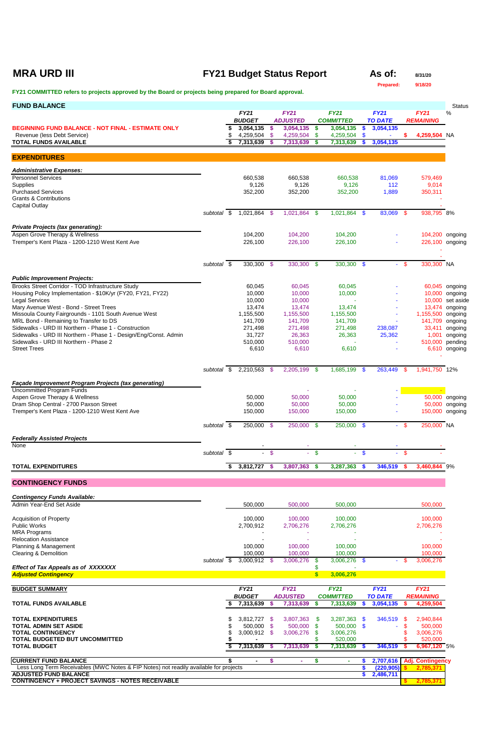## **MRA URD III FY21 Budget Status Report** As of: 8/31/20

**Prepared: 9/18/20**

| <b>FUND BALANCE</b>                                                                            |             |    |                              |          |                                |                           |                                 |           |                               |                |                                      | <b>Status</b>                    |
|------------------------------------------------------------------------------------------------|-------------|----|------------------------------|----------|--------------------------------|---------------------------|---------------------------------|-----------|-------------------------------|----------------|--------------------------------------|----------------------------------|
|                                                                                                |             |    | <b>FY21</b><br><b>BUDGET</b> |          | <b>FY21</b><br><b>ADJUSTED</b> |                           | <b>FY21</b><br><b>COMMITTED</b> |           | <b>FY21</b><br><b>TO DATE</b> |                | <b>FY21</b><br><b>REMAINING</b>      | %                                |
| <b>BEGINNING FUND BALANCE - NOT FINAL - ESTIMATE ONLY</b>                                      |             | \$ | 3,054,135                    | -\$      | 3,054,135                      | \$                        | 3,054,135                       | \$        | 3,054,135                     |                |                                      |                                  |
| Revenue (less Debt Service)<br><b>TOTAL FUNDS AVAILABLE</b>                                    |             | S  | 4,259,504 \$<br>7,313,639    | -\$      | 4,259,504<br>7,313,639         | \$.<br>\$                 | 4,259,504<br>7,313,639          | -\$<br>\$ | 3,054,135                     | \$             | 4,259,504 NA                         |                                  |
| <b>EXPENDITURES</b>                                                                            |             |    |                              |          |                                |                           |                                 |           |                               |                |                                      |                                  |
| <b>Administrative Expenses:</b>                                                                |             |    |                              |          |                                |                           |                                 |           |                               |                |                                      |                                  |
| <b>Personnel Services</b><br><b>Supplies</b>                                                   |             |    | 660,538<br>9,126             |          | 660,538<br>9,126               |                           | 660,538<br>9,126                |           | 81,069<br>112                 |                | 579,469<br>9,014                     |                                  |
| <b>Purchased Services</b>                                                                      |             |    | 352,200                      |          | 352,200                        |                           | 352,200                         |           | 1,889                         |                | 350,311                              |                                  |
| <b>Grants &amp; Contributions</b><br><b>Capital Outlay</b>                                     |             |    |                              |          |                                |                           |                                 |           |                               |                |                                      |                                  |
|                                                                                                | subtotal \$ |    | 1,021,864 \$                 |          | 1,021,864 \$                   |                           | 1,021,864 \$                    |           | 83,069                        | \$             | 938,795 8%                           |                                  |
| <b>Private Projects (tax generating):</b>                                                      |             |    |                              |          |                                |                           |                                 |           |                               |                |                                      |                                  |
| Aspen Grove Therapy & Wellness                                                                 |             |    | 104,200                      |          | 104,200                        |                           | 104,200                         |           |                               |                |                                      | 104,200 ongoing                  |
| Tremper's Kent Plaza - 1200-1210 West Kent Ave                                                 |             |    | 226,100                      |          | 226,100                        |                           | 226,100                         |           |                               |                |                                      | 226,100 ongoing                  |
|                                                                                                |             |    |                              |          |                                |                           |                                 |           |                               |                |                                      |                                  |
|                                                                                                | subtotal \$ |    | 330,300 \$                   |          | 330,300 \$                     |                           | 330,300 \$                      |           | $\mathbf{r}$                  | S.             | 330,300 NA                           |                                  |
| <b>Public Improvement Projects:</b>                                                            |             |    |                              |          |                                |                           |                                 |           |                               |                |                                      |                                  |
| Brooks Street Corridor - TOD Infrastructure Study                                              |             |    | 60,045                       |          | 60,045                         |                           | 60,045                          |           |                               |                |                                      | 60,045 ongoing                   |
| Housing Policy Implementation - \$10K/yr (FY20, FY21, FY22)<br><b>Legal Services</b>           |             |    | 10,000<br>10,000             |          | 10,000<br>10,000               |                           | 10,000                          |           |                               |                | 10,000                               | 10,000 ongoing<br>set aside      |
| Mary Avenue West - Bond - Street Trees                                                         |             |    | 13,474                       |          | 13,474                         |                           | 13,474                          |           |                               |                |                                      | 13,474 ongoing                   |
| Missoula County Fairgrounds - 1101 South Avenue West<br>MRL Bond - Remaining to Transfer to DS |             |    | 1,155,500<br>141,709         |          | 1,155,500<br>141,709           |                           | 1,155,500<br>141,709            |           |                               |                | 1,155,500 ongoing<br>141,709 ongoing |                                  |
| Sidewalks - URD III Northern - Phase 1 - Construction                                          |             |    | 271,498                      |          | 271,498                        |                           | 271,498                         |           | 238,087                       |                | 33,411                               | ongoing                          |
| Sidewalks - URD III Northern - Phase 1 - Design/Eng/Const. Admin                               |             |    | 31,727                       |          | 26,363                         |                           | 26,363                          |           | 25,362                        |                | 1,001                                | ongoing                          |
| Sidewalks - URD III Northern - Phase 2<br><b>Street Trees</b>                                  |             |    | 510,000<br>6,610             |          | 510,000<br>6,610               |                           | 6,610                           |           |                               |                | 510,000                              | pending<br>6,610 ongoing         |
|                                                                                                |             |    |                              |          |                                |                           |                                 |           |                               |                |                                      |                                  |
|                                                                                                | subtotal \$ |    | 2,210,563                    | - \$     | 2,205,199                      | \$                        | 1,685,199                       | - \$      | 263,449                       | \$             | 1,941,750 12%                        |                                  |
| Façade Improvement Program Projects (tax generating)                                           |             |    |                              |          |                                |                           |                                 |           |                               |                |                                      |                                  |
| <b>Uncommitted Program Funds</b>                                                               |             |    |                              |          |                                |                           |                                 |           |                               |                |                                      |                                  |
| Aspen Grove Therapy & Wellness<br>Dram Shop Central - 2700 Paxson Street                       |             |    | 50,000<br>50,000             |          | 50,000                         |                           | 50,000                          |           |                               |                |                                      | 50,000 ongoing<br>50,000 ongoing |
| Tremper's Kent Plaza - 1200-1210 West Kent Ave                                                 |             |    | 150,000                      |          | 50,000<br>150,000              |                           | 50,000<br>150,000               |           |                               |                |                                      | 150,000 ongoing                  |
|                                                                                                | subtotal \$ |    | 250,000 \$                   |          | 250,000 \$                     |                           | 250,000 \$                      |           | $\sim 10$                     | $\mathfrak{S}$ | 250,000 NA                           |                                  |
|                                                                                                |             |    |                              |          |                                |                           |                                 |           |                               |                |                                      |                                  |
| <b>Federally Assisted Projects</b><br>None                                                     |             |    |                              |          |                                |                           |                                 |           |                               |                |                                      |                                  |
|                                                                                                | subtotal \$ |    | $\sim$                       | -\$      | $\sim$                         | $\boldsymbol{\mathsf{s}}$ | $\sim$                          | -\$       |                               | \$.            |                                      |                                  |
| <b>TOTAL EXPENDITURES</b>                                                                      |             | S  | 3,812,727                    | - \$     | 3,807,363                      | \$                        | 3,287,363                       | <b>S</b>  | 346,519                       | -S             | 3,460,844 9%                         |                                  |
| <b>CONTINGENCY FUNDS</b>                                                                       |             |    |                              |          |                                |                           |                                 |           |                               |                |                                      |                                  |
|                                                                                                |             |    |                              |          |                                |                           |                                 |           |                               |                |                                      |                                  |
| <b>Contingency Funds Available:</b><br>Admin Year-End Set Aside                                |             |    | 500,000                      |          | 500,000                        |                           | 500,000                         |           |                               |                | 500,000                              |                                  |
|                                                                                                |             |    |                              |          |                                |                           |                                 |           |                               |                |                                      |                                  |
| <b>Acquisition of Property</b><br><b>Public Works</b>                                          |             |    | 100,000<br>2,700,912         |          | 100,000<br>2,706,276           |                           | 100,000<br>2,706,276            |           |                               |                | 100,000<br>2,706,276                 |                                  |
| <b>MRA Programs</b>                                                                            |             |    |                              |          |                                |                           |                                 |           |                               |                |                                      |                                  |
| <b>Relocation Assistance</b><br>Planning & Management                                          |             |    | 100,000                      |          | 100,000                        |                           | 100,000                         |           |                               |                | 100,000                              |                                  |
| <b>Clearing &amp; Demolition</b>                                                               |             |    | 100,000                      |          | 100,000                        |                           | 100,000                         |           |                               |                | 100,000                              |                                  |
| <b>Effect of Tax Appeals as of XXXXXXX</b>                                                     | subtotal \$ |    | 3,000,912 \$                 |          | 3,006,276                      | \$.                       | 3,006,276 \$                    |           |                               | \$.            | 3,006,276                            |                                  |
| <b>Adjusted Contingency</b>                                                                    |             |    |                              |          |                                | $\mathbf{\$}$             | 3,006,276                       |           |                               |                |                                      |                                  |
| <b>BUDGET SUMMARY</b>                                                                          |             |    | <b>FY21</b>                  |          | <b>FY21</b>                    |                           | <b>FY21</b>                     |           | <b>FY21</b>                   |                | <b>FY21</b>                          |                                  |
|                                                                                                |             |    | <b>BUDGET</b>                |          | <b>ADJUSTED</b>                |                           | <b>COMMITTED</b>                |           | <b>TO DATE</b>                |                | <b>REMAINING</b>                     |                                  |
| <b>TOTAL FUNDS AVAILABLE</b>                                                                   |             |    | 7,313,639                    | <b>S</b> | 7,313,639                      | \$                        | 7,313,639                       | S         | 3,054,135                     | \$.            | 4,259,504                            |                                  |
| <b>TOTAL EXPENDITURES</b>                                                                      |             |    | 3,812,727                    | - \$     | 3,807,363                      | \$                        | 3,287,363                       | - \$      | 346,519                       |                | 2,940,844                            |                                  |
| <b>TOTAL ADMIN SET ASIDE</b>                                                                   |             |    | 500,000 \$                   |          | 500,000                        | \$                        | 500,000 \$                      |           |                               | S              | 500,000                              |                                  |
| <b>TOTAL CONTINGENCY</b><br>TOTAL BUDGETED BUT UNCOMMITTED                                     |             |    | 3,000,912                    | -\$      | 3,006,276                      | \$                        | 3,006,276<br>520,000            |           |                               |                | 3,006,276<br>520,000                 |                                  |
| <b>TOTAL BUDGET</b>                                                                            |             |    | 7,313,639                    | S        | 7,313,639                      |                           | 7,313,639                       |           | 346,519                       |                | 6,967,120 5%                         |                                  |
| <b>CURRENT FUND BALANCE</b>                                                                    |             |    | $\blacksquare$               | \$       | ×.                             | \$                        |                                 |           | 2,707,616                     |                | Adj. Contingency                     |                                  |
| Less Long Term Receivables (MWC Notes & FIP Notes) not readily available for projects          |             |    |                              |          |                                |                           |                                 |           | (220, 905)                    |                | 2,785,37'                            |                                  |
| <b>ADJUSTED FUND BALANCE</b><br><b>CONTINGENCY + PROJECT SAVINGS - NOTES RECEIVABLE</b>        |             |    |                              |          |                                |                           |                                 |           | 2,486,711                     |                | 2,785,371                            |                                  |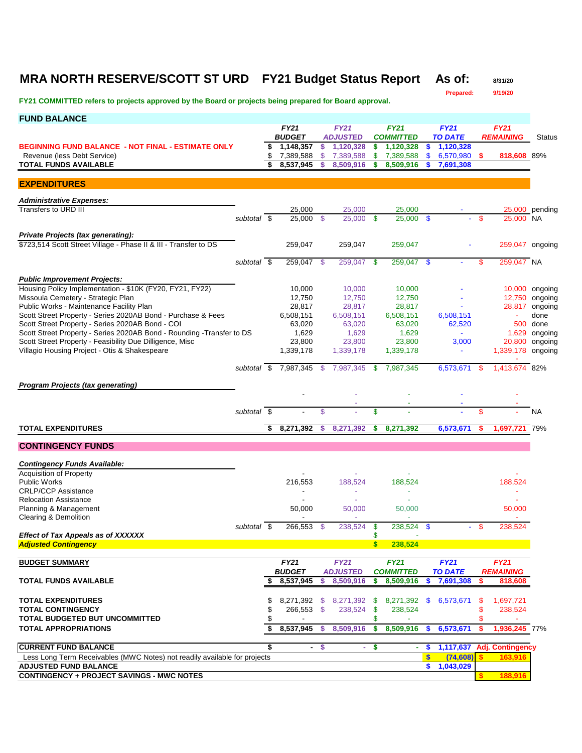## **MRA NORTH RESERVE/SCOTT ST URD FY21 Budget Status Report As of:** 8/31/20

**Prepared: 9/19/20**

| <b>FUND BALANCE</b>                                                       |                          |                              |      |                                |               |                                 |                  |                               |      |                                 |                |
|---------------------------------------------------------------------------|--------------------------|------------------------------|------|--------------------------------|---------------|---------------------------------|------------------|-------------------------------|------|---------------------------------|----------------|
|                                                                           |                          | <b>FY21</b><br><b>BUDGET</b> |      | <b>FY21</b><br><b>ADJUSTED</b> |               | <b>FY21</b><br><b>COMMITTED</b> |                  | <b>FY21</b><br><b>TO DATE</b> |      | <b>FY21</b><br><b>REMAINING</b> | <b>Status</b>  |
| <b>BEGINNING FUND BALANCE - NOT FINAL - ESTIMATE ONLY</b>                 |                          | \$<br>1,148,357              | \$   | 1,120,328                      | \$            | 1,120,328                       | \$               | 1,120,328                     |      |                                 |                |
| Revenue (less Debt Service)                                               |                          | \$<br>7,389,588              | \$   | 7,389,588                      | \$            | 7,389,588                       | \$               | 6,570,980                     | -\$  | 818,608 89%                     |                |
| <b>TOTAL FUNDS AVAILABLE</b>                                              |                          | \$<br>8.537.945              | \$.  | 8,509,916                      | S             | 8,509,916                       | \$               | 7,691,308                     |      |                                 |                |
| <b>EXPENDITURES</b>                                                       |                          |                              |      |                                |               |                                 |                  |                               |      |                                 |                |
| <b>Administrative Expenses:</b>                                           |                          |                              |      |                                |               |                                 |                  |                               |      |                                 |                |
| Transfers to URD III                                                      |                          | 25,000                       |      | 25,000                         |               | 25,000                          |                  |                               |      |                                 | 25,000 pending |
|                                                                           | subtotal \$              | 25,000                       | - \$ | 25,000 \$                      |               | $25,000$ \$                     |                  |                               | \$   | 25,000 NA                       |                |
| Private Projects (tax generating):                                        |                          |                              |      |                                |               |                                 |                  |                               |      |                                 |                |
| \$723,514 Scott Street Village - Phase II & III - Transfer to DS          |                          | 259,047                      |      | 259,047                        |               | 259,047                         |                  |                               |      | 259,047 ongoing                 |                |
|                                                                           |                          |                              |      |                                |               |                                 |                  |                               |      |                                 |                |
|                                                                           | subtotal \$              | 259,047 \$                   |      | 259,047 \$                     |               | 259,047                         | $\mathbf{\$}$    |                               | \$   | 259,047 NA                      |                |
| <b>Public Improvement Projects:</b>                                       |                          |                              |      |                                |               |                                 |                  |                               |      |                                 |                |
| Housing Policy Implementation - \$10K (FY20, FY21, FY22)                  |                          | 10,000                       |      | 10,000                         |               | 10,000                          |                  |                               |      |                                 | 10,000 ongoing |
| Missoula Cemetery - Strategic Plan                                        |                          | 12.750                       |      | 12,750                         |               | 12,750                          |                  |                               |      |                                 | 12,750 ongoing |
| Public Works - Maintenance Facility Plan                                  |                          | 28,817                       |      | 28,817                         |               | 28,817                          |                  |                               |      |                                 | 28,817 ongoing |
| Scott Street Property - Series 2020AB Bond - Purchase & Fees              |                          | 6,508,151                    |      | 6,508,151                      |               | 6,508,151                       |                  | 6,508,151                     |      |                                 | done           |
| Scott Street Property - Series 2020AB Bond - COI                          |                          | 63,020                       |      | 63,020                         |               | 63,020                          |                  | 62,520                        |      |                                 | 500 done       |
| Scott Street Property - Series 2020AB Bond - Rounding - Transfer to DS    |                          | 1,629                        |      | 1,629                          |               | 1,629                           |                  |                               |      | 1,629                           | ongoing        |
| Scott Street Property - Feasibility Due Dilligence, Misc                  |                          | 23,800                       |      | 23,800                         |               | 23,800                          |                  | 3,000                         |      |                                 | 20,800 ongoing |
| Villagio Housing Project - Otis & Shakespeare                             |                          | 1,339,178                    |      | 1,339,178                      |               | 1,339,178                       |                  | $\blacksquare$                |      | 1,339,178 ongoing               |                |
|                                                                           | subtotal $\overline{\$}$ | 7,987,345 \$                 |      | 7,987,345                      | -\$           | 7,987,345                       |                  | 6,573,671                     | - \$ | 1,413,674 82%                   |                |
|                                                                           |                          |                              |      |                                |               |                                 |                  |                               |      |                                 |                |
| <b>Program Projects (tax generating)</b>                                  |                          |                              |      |                                |               |                                 |                  |                               |      |                                 |                |
|                                                                           |                          |                              |      |                                |               |                                 |                  |                               |      |                                 |                |
|                                                                           | subtotal \$              |                              | \$   |                                | \$            |                                 |                  |                               | \$   |                                 | NA             |
| <b>TOTAL EXPENDITURES</b>                                                 |                          | 8,271,392                    | s    | 8,271,392                      | s             | 8,271,392                       |                  | 6,573,671                     |      | 1,697,721                       | 79%            |
| <b>CONTINGENCY FUNDS</b>                                                  |                          |                              |      |                                |               |                                 |                  |                               |      |                                 |                |
|                                                                           |                          |                              |      |                                |               |                                 |                  |                               |      |                                 |                |
| <b>Contingency Funds Available:</b>                                       |                          |                              |      |                                |               |                                 |                  |                               |      |                                 |                |
| <b>Acquisition of Property</b>                                            |                          |                              |      |                                |               |                                 |                  |                               |      |                                 |                |
| <b>Public Works</b>                                                       |                          | 216,553                      |      | 188,524                        |               | 188,524                         |                  |                               |      | 188,524                         |                |
| <b>CRLP/CCP Assistance</b>                                                |                          |                              |      | ä,                             |               | ٠                               |                  |                               |      | ÷,                              |                |
| <b>Relocation Assistance</b><br>Planning & Management                     |                          | 50,000                       |      | 50,000                         |               | 50,000                          |                  |                               |      | 50,000                          |                |
| Clearing & Demolition                                                     |                          |                              |      |                                |               | ×.                              |                  |                               |      | $\sim$                          |                |
|                                                                           | subtotal \$              | 266,553                      | -\$  | 238,524                        | -\$           | 238.524                         | $\mathbf{\$}$    | $\sim$                        | \$   | 238.524                         |                |
| <b>Effect of Tax Appeals as of XXXXXX</b>                                 |                          |                              |      |                                | \$            |                                 |                  |                               |      |                                 |                |
| <b>Adjusted Contingency</b>                                               |                          |                              |      |                                | $\mathbf{s}$  | 238,524                         |                  |                               |      |                                 |                |
| <b>BUDGET SUMMARY</b>                                                     |                          | FY21                         |      | <b>FY21</b>                    |               | <b>FY21</b>                     |                  | FY21                          |      | <b>FY21</b>                     |                |
|                                                                           |                          | <b>BUDGET</b>                |      | <b>ADJUSTED</b>                |               | <b>COMMITTED</b>                |                  | <b>TO DATE</b>                |      | <b>REMAINING</b>                |                |
| <b>TOTAL FUNDS AVAILABLE</b>                                              |                          | \$<br>8,537,945              | s.   | 8,509,916                      | \$            | 8,509,916                       | \$.              | 7,691,308                     | \$   | 818,608                         |                |
|                                                                           |                          |                              |      |                                |               |                                 |                  |                               |      |                                 |                |
| <b>TOTAL EXPENDITURES</b>                                                 |                          | \$                           |      | 8,271,392 \$ 8,271,392 \$      |               |                                 |                  | 8,271,392 \$ 6,573,671        | \$   | 1,697,721                       |                |
| <b>TOTAL CONTINGENCY</b>                                                  |                          | \$<br>266,553 \$             |      | 238,524                        | \$            | 238,524                         |                  |                               | \$   | 238,524                         |                |
| <b>TOTAL BUDGETED BUT UNCOMMITTED</b>                                     |                          |                              |      |                                | \$            |                                 |                  |                               | \$   |                                 |                |
| <b>TOTAL APPROPRIATIONS</b>                                               |                          | \$<br>8,537,945              | - \$ | 8,509,916                      | $\mathbf{\$}$ | 8,509,916                       | \$               | 6,573,671                     | \$   | 1,936,245 77%                   |                |
| <b>CURRENT FUND BALANCE</b>                                               |                          | \$                           | - \$ |                                | - \$          | $\blacksquare$                  | <b>S</b>         | 1,117,637                     |      | <b>Adj. Contingency</b>         |                |
| Less Long Term Receivables (MWC Notes) not readily available for projects |                          |                              |      |                                |               |                                 | $\boldsymbol{s}$ | (74, 608)                     | \$.  | 163,916                         |                |
| <b>ADJUSTED FUND BALANCE</b>                                              |                          |                              |      |                                |               |                                 | \$               | 1,043,029                     |      |                                 |                |
| <b>CONTINGENCY + PROJECT SAVINGS - MWC NOTES</b>                          |                          |                              |      |                                |               |                                 |                  |                               |      | 188,916                         |                |